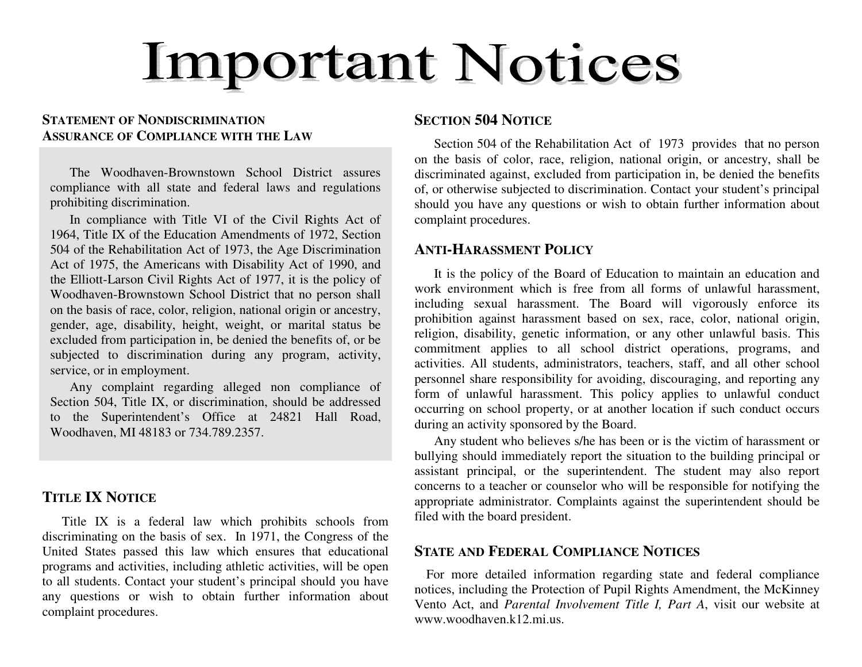# **Important Notices**

# **STATEMENT OF NONDISCRIMINATIONASSURANCE OF COMPLIANCE WITH THE LAW**

The Woodhaven-Brownstown School District assures compliance with all state and federal laws and regulations prohibiting discrimination.

In compliance with Title VI of the Civil Rights Act of 1964, Title IX of the Education Amendments of 1972, Section 504 of the Rehabilitation Act of 1973, the Age Discrimination Act of 1975, the Americans with Disability Act of 1990, and the Elliott-Larson Civil Rights Act of 1977, it is the policy of Woodhaven-Brownstown School District that no person shall on the basis of race, color, religion, national origin or ancestry, gender, age, disability, height, weight, or marital status be excluded from participation in, be denied the benefits of, or be subjected to discrimination during any program, activity, service, or in employment.

Any complaint regarding alleged non compliance of Section 504, Title IX, or discrimination, should be addressed to the Superintendent's Office at 24821 Hall Road, Woodhaven, MI 48183 or 734.789.2357.

## **TITLE IX NOTICE**

Title IX is a federal law which prohibits schools from discriminating on the basis of sex. In 1971, the Congress of the United States passed this law which ensures that educational programs and activities, including athletic activities, will be open to all students. Contact your student's principal should you have any questions or wish to obtain further information about complaint procedures.

#### **SECTION 504 NOTICE**

Section 504 of the Rehabilitation Act of 1973 provides that no person on the basis of color, race, religion, national origin, or ancestry, shall be discriminated against, excluded from participation in, be denied the benefits of, or otherwise subjected to discrimination. Contact your student's principal should you have any questions or wish to obtain further information about complaint procedures.

#### **ANTI-HARASSMENT POLICY**

It is the policy of the Board of Education to maintain an education and work environment which is free from all forms of unlawful harassment, including sexual harassment. The Board will vigorously enforce its prohibition against harassment based on sex, race, color, national origin, religion, disability, genetic information, or any other unlawful basis. This commitment applies to all school district operations, programs, and activities. All students, administrators, teachers, staff, and all other school personnel share responsibility for avoiding, discouraging, and reporting any form of unlawful harassment. This policy applies to unlawful conduct occurring on school property, or at another location if such conduct occurs during an activity sponsored by the Board.

Any student who believes s/he has been or is the victim of harassment or bullying should immediately report the situation to the building principal or assistant principal, or the superintendent. The student may also report concerns to a teacher or counselor who will be responsible for notifying the appropriate administrator. Complaints against the superintendent should be filed with the board president.

# **STATE AND FEDERAL COMPLIANCE NOTICES**

For more detailed information regarding state and federal compliance notices, including the Protection of Pupil Rights Amendment, the McKinney Vento Act, and *Parental Involvement Title I, Part A*, visit our website at www.woodhaven.k12.mi.us.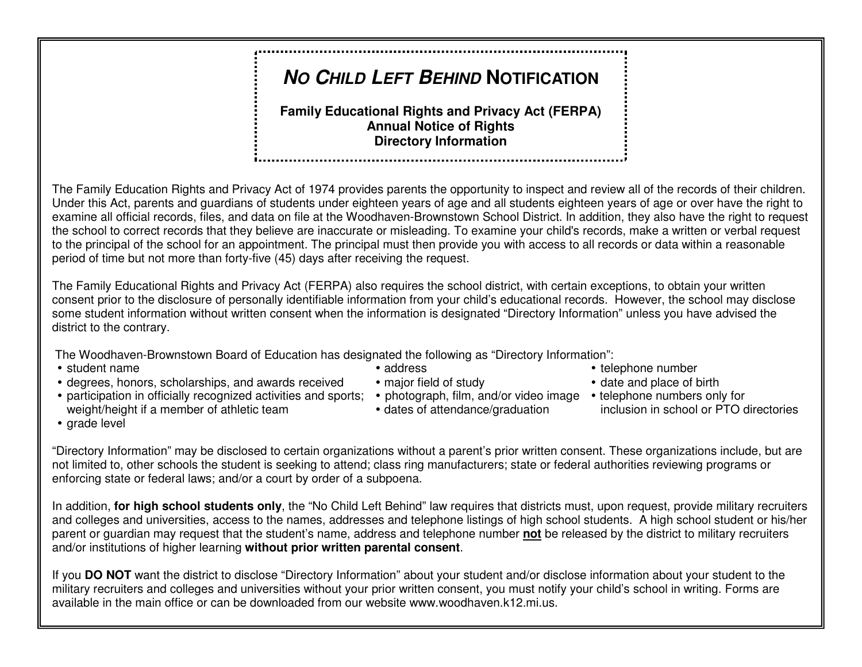# **NO CHILD LEFT BEHIND <sup>N</sup>OTIFICATION**

#### **Family Educational Rights and Privacy Act (FERPA) Annual Notice of Rights Directory Information**

The Family Education Rights and Privacy Act of 1974 provides parents the opportunity to inspect and review all of the records of their children. Under this Act, parents and guardians of students under eighteen years of age and all students eighteen years of age or over have the right to examine all official records, files, and data on file at the Woodhaven-Brownstown School District. In addition, they also have the right to request the school to correct records that they believe are inaccurate or misleading. To examine your child's records, make a written or verbal request to the principal of the school for an appointment. The principal must then provide you with access to all records or data within a reasonable period of time but not more than forty-five (45) days after receiving the request.

The Family Educational Rights and Privacy Act (FERPA) also requires the school district, with certain exceptions, to obtain your written consent prior to the disclosure of personally identifiable information from your child's educational records. However, the school may disclose some student information without written consent when the information is designated "Directory Information" unless you have advised the district to the contrary.

The Woodhaven-Brownstown Board of Education has designated the following as "Directory Information":

- 
- $\bullet$  degrees, honors, scholarships, and awards received  $\bullet$  major field of study
- participation in officially recognized activities and sports; photograph, film, and/or video image telephone numbers only for weight/height if a member of athletic team **director of attendance/graduation**
- 
- 
- -
- student name **address** address address **telephone number** and the telephone number
	- date and place of birth
	- inclusion in school or PTO directories

• grade level

"Directory Information" may be disclosed to certain organizations without a parent's prior written consent. These organizations include, but are not limited to, other schools the student is seeking to attend; class ring manufacturers; state or federal authorities reviewing programs or enforcing state or federal laws; and/or a court by order of a subpoena.

In addition, **for high school students only**, the "No Child Left Behind" law requires that districts must, upon request, provide military recruiters and colleges and universities, access to the names, addresses and telephone listings of high school students. A high school student or his/her parent or guardian may request that the student's name, address and telephone number **not** be released by the district to military recruitersand/or institutions of higher learning **without prior written parental consent**.

If you **DO NOT** want the district to disclose "Directory Information" about your student and/or disclose information about your student to the military recruiters and colleges and universities without your prior written consent, you must notify your child's school in writing. Forms are available in the main office or can be downloaded from our website www.woodhaven.k12.mi.us.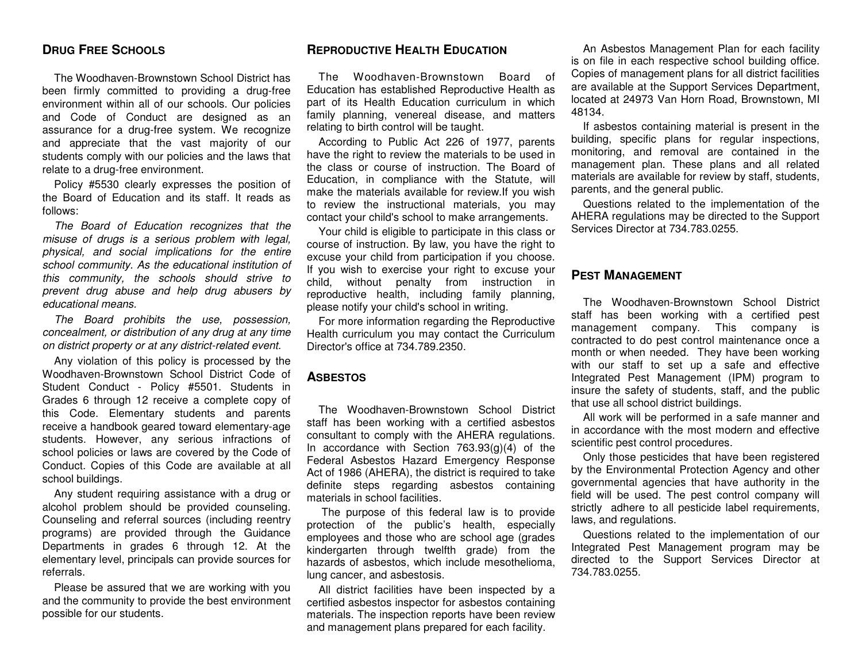#### **DRUG FREE SCHOOLS**

The Woodhaven-Brownstown School District has been firmly committed to providing a drug-free environment within all of our schools. Our policies and Code of Conduct are designed as an assurance for a drug-free system. We recognize and appreciate that the vast majority of our students comply with our policies and the laws thatrelate to a drug-free environment.

Policy #5530 clearly expresses the position of the Board of Education and its staff. It reads as follows:

The Board of Education recognizes that the misuse of drugs is a serious problem with legal, physical, and social implications for the entire school community. As the educational institution of this community, the schools should strive to prevent drug abuse and help drug abusers by educational means.

The Board prohibits the use, possession, concealment, or distribution of any drug at any time on district property or at any district-related event.

Any violation of this policy is processed by the Woodhaven-Brownstown School District Code of Student Conduct - Policy #5501. Students in Grades 6 through 12 receive a complete copy of this Code. Elementary students and parents receive a handbook geared toward elementary-age students. However, any serious infractions of school policies or laws are covered by the Code of Conduct. Copies of this Code are available at all school buildings.

Any student requiring assistance with a drug or alcohol problem should be provided counseling. Counseling and referral sources (including reentry programs) are provided through the Guidance Departments in grades 6 through 12. At the elementary level, principals can provide sources for referrals.

Please be assured that we are working with you and the community to provide the best environment possible for our students.

#### **REPRODUCTIVE HEALTH EDUCATION**

The Woodhaven-Brownstown Board of Education has established Reproductive Health as part of its Health Education curriculum in which family planning, venereal disease, and matters relating to birth control will be taught.

According to Public Act 226 of 1977, parents have the right to review the materials to be used in the class or course of instruction. The Board of Education, in compliance with the Statute, will make the materials available for review.If you wish to review the instructional materials, you may contact your child's school to make arrangements.

 Your child is eligible to participate in this class or course of instruction. By law, you have the right to excuse your child from participation if you choose. If you wish to exercise your right to excuse your child, without penalty from instruction in reproductive health, including family planning, please notify your child's school in writing.

 For more information regarding the Reproductive Health curriculum you may contact the Curriculum Director's office at 734.789.2350.

#### **ASBESTOS**

The Woodhaven-Brownstown School District staff has been working with a certified asbestos consultant to comply with the AHERA regulations. In accordance with Section 763.93(g)(4) of the Federal Asbestos Hazard Emergency Response Act of 1986 (AHERA), the district is required to take definite steps regarding asbestos containing materials in school facilities.

 The purpose of this federal law is to provide protection of the public's health, especially employees and those who are school age (grades kindergarten through twelfth grade) from the hazards of asbestos, which include mesothelioma, lung cancer, and asbestosis.

All district facilities have been inspected by a certified asbestos inspector for asbestos containing materials. The inspection reports have been review and management plans prepared for each facility.

An Asbestos Management Plan for each facility is on file in each respective school building office. Copies of management plans for all district facilities are available at the Support Services Department, located at 24973 Van Horn Road, Brownstown, MI 48134.

If asbestos containing material is present in the building, specific plans for regular inspections, monitoring, and removal are contained in the management plan. These plans and all related materials are available for review by staff, students, parents, and the general public.

 Questions related to the implementation of the AHERA regulations may be directed to the Support Services Director at 734.783.0255.

#### **PEST MANAGEMENT**

The Woodhaven-Brownstown School District staff has been working with a certified pest management company. This company is contracted to do pest control maintenance once a month or when needed. They have been working with our staff to set up a safe and effective Integrated Pest Management (IPM) program to insure the safety of students, staff, and the public that use all school district buildings.

All work will be performed in a safe manner and in accordance with the most modern and effective scientific pest control procedures.

 Only those pesticides that have been registered by the Environmental Protection Agency and other governmental agencies that have authority in the field will be used. The pest control company will strictly adhere to all pesticide label requirements, laws, and regulations.

Questions related to the implementation of our Integrated Pest Management program may be directed to the Support Services Director at 734.783.0255.